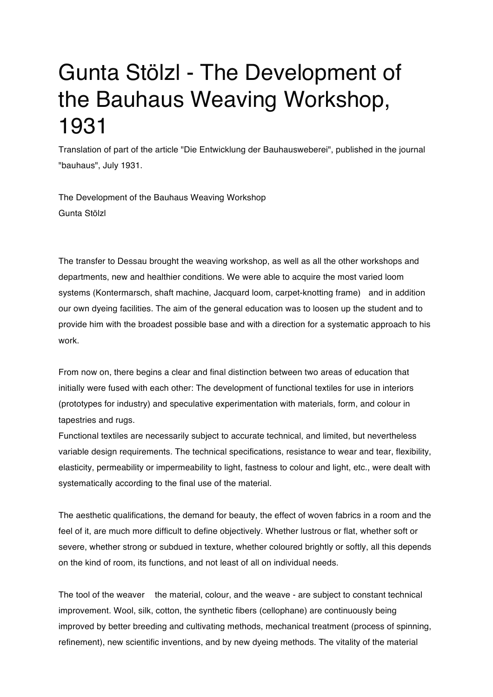## Gunta Stölzl - The Development of the Bauhaus Weaving Workshop, 1931

Translation of part of the article "Die Entwicklung der Bauhausweberei", published in the journal "bauhaus", July 1931.

The Development of the Bauhaus Weaving Workshop Gunta Stölzl

The transfer to Dessau brought the weaving workshop, as well as all the other workshops and departments, new and healthier conditions. We were able to acquire the most varied loom systems (Kontermarsch, shaft machine, Jacquard loom, carpet-knotting frame) and in addition our own dyeing facilities. The aim of the general education was to loosen up the student and to provide him with the broadest possible base and with a direction for a systematic approach to his work.

From now on, there begins a clear and final distinction between two areas of education that initially were fused with each other: The development of functional textiles for use in interiors (prototypes for industry) and speculative experimentation with materials, form, and colour in tapestries and rugs.

Functional textiles are necessarily subject to accurate technical, and limited, but nevertheless variable design requirements. The technical specifications, resistance to wear and tear, flexibility, elasticity, permeability or impermeability to light, fastness to colour and light, etc., were dealt with systematically according to the final use of the material.

The aesthetic qualifications, the demand for beauty, the effect of woven fabrics in a room and the feel of it, are much more difficult to define objectively. Whether lustrous or flat, whether soft or severe, whether strong or subdued in texture, whether coloured brightly or softly, all this depends on the kind of room, its functions, and not least of all on individual needs.

The tool of the weaver the material, colour, and the weave - are subject to constant technical improvement. Wool, silk, cotton, the synthetic fibers (cellophane) are continuously being improved by better breeding and cultivating methods, mechanical treatment (process of spinning, refinement), new scientific inventions, and by new dyeing methods. The vitality of the material